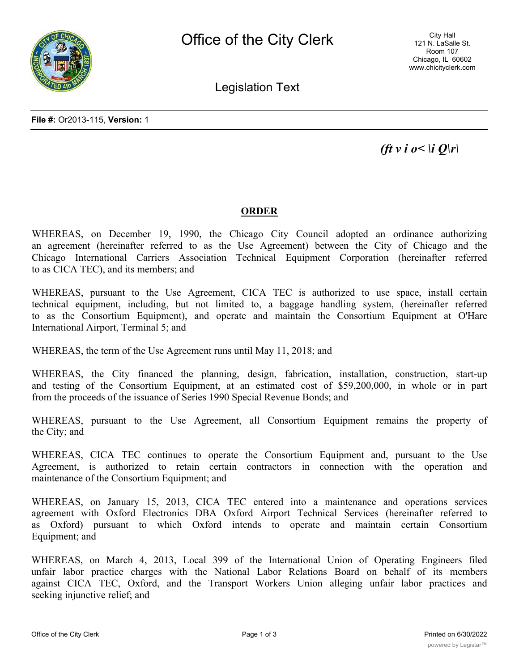

City Hall 121 N. LaSalle St. Room 107 Chicago, IL 60602 www.chicityclerk.com

Legislation Text

*(ft v i o < \i Q\r\* 

## **ORDER**

WHEREAS, on December 19, 1990, the Chicago City Council adopted an ordinance authorizing an agreement (hereinafter referred to as the Use Agreement) between the City of Chicago and the Chicago International Carriers Association Technical Equipment Corporation (hereinafter referred to as CICA TEC), and its members; and

WHEREAS, pursuant to the Use Agreement, CICA TEC is authorized to use space, install certain technical equipment, including, but not limited to, a baggage handling system, (hereinafter referred to as the Consortium Equipment), and operate and maintain the Consortium Equipment at O'Hare International Airport, Terminal 5; and

WHEREAS, the term of the Use Agreement runs until May 11, 2018; and

WHEREAS, the City financed the planning, design, fabrication, installation, construction, start-up and testing of the Consortium Equipment, at an estimated cost of \$59,200,000, in whole or in part from the proceeds of the issuance of Series 1990 Special Revenue Bonds; and

WHEREAS, pursuant to the Use Agreement, all Consortium Equipment remains the property of the City; and

WHEREAS, CICA TEC continues to operate the Consortium Equipment and, pursuant to the Use Agreement, is authorized to retain certain contractors in connection with the operation and maintenance of the Consortium Equipment; and

WHEREAS, on January 15, 2013, CICA TEC entered into a maintenance and operations services agreement with Oxford Electronics DBA Oxford Airport Technical Services (hereinafter referred to as Oxford) pursuant to which Oxford intends to operate and maintain certain Consortium Equipment; and

WHEREAS, on March 4, 2013, Local 399 of the International Union of Operating Engineers filed unfair labor practice charges with the National Labor Relations Board on behalf of its members against CICA TEC, Oxford, and the Transport Workers Union alleging unfair labor practices and seeking injunctive relief; and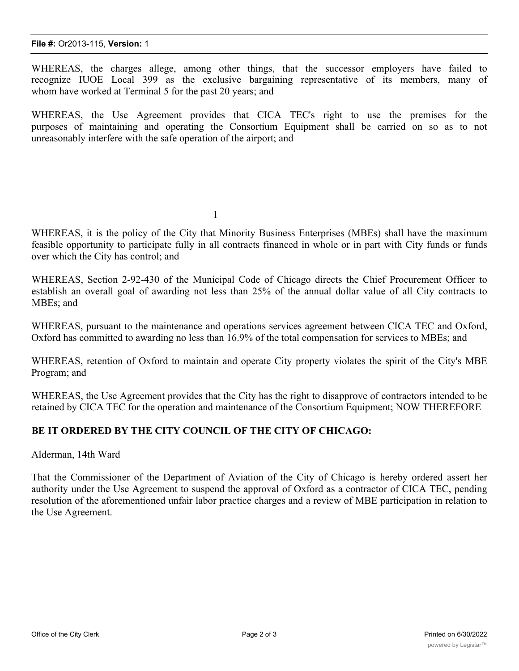WHEREAS, the charges allege, among other things, that the successor employers have failed to recognize IUOE Local 399 as the exclusive bargaining representative of its members, many of whom have worked at Terminal 5 for the past 20 years; and

WHEREAS, the Use Agreement provides that CICA TEC's right to use the premises for the purposes of maintaining and operating the Consortium Equipment shall be carried on so as to not unreasonably interfere with the safe operation of the airport; and

1

WHEREAS, it is the policy of the City that Minority Business Enterprises (MBEs) shall have the maximum feasible opportunity to participate fully in all contracts financed in whole or in part with City funds or funds over which the City has control; and

WHEREAS, Section 2-92-430 of the Municipal Code of Chicago directs the Chief Procurement Officer to establish an overall goal of awarding not less than 25% of the annual dollar value of all City contracts to MBEs; and

WHEREAS, pursuant to the maintenance and operations services agreement between CICA TEC and Oxford, Oxford has committed to awarding no less than 16.9% of the total compensation for services to MBEs; and

WHEREAS, retention of Oxford to maintain and operate City property violates the spirit of the City's MBE Program; and

WHEREAS, the Use Agreement provides that the City has the right to disapprove of contractors intended to be retained by CICA TEC for the operation and maintenance of the Consortium Equipment; NOW THEREFORE

## **BE IT ORDERED BY THE CITY COUNCIL OF THE CITY OF CHICAGO:**

Alderman, 14th Ward

That the Commissioner of the Department of Aviation of the City of Chicago is hereby ordered assert her authority under the Use Agreement to suspend the approval of Oxford as a contractor of CICA TEC, pending resolution of the aforementioned unfair labor practice charges and a review of MBE participation in relation to the Use Agreement.